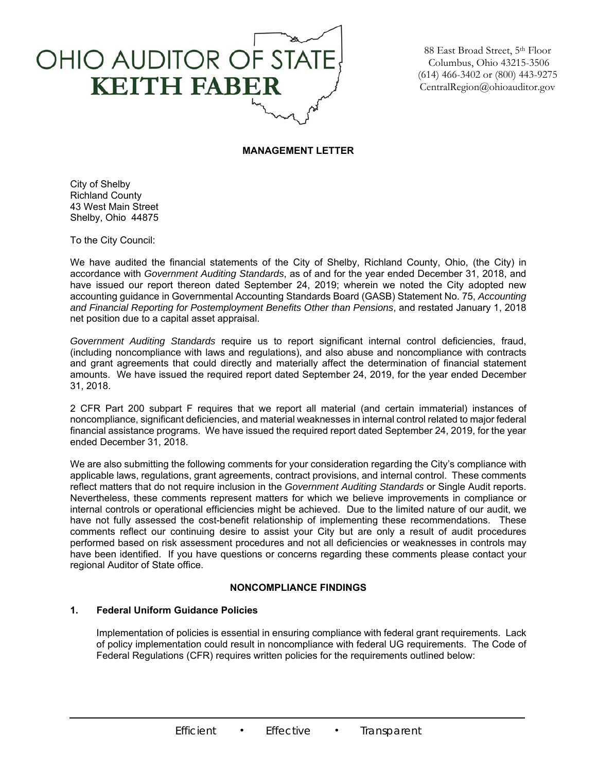

88 East Broad Street, 5th Floor Columbus, Ohio 43215-3506 (614) 466-3402 or (800) 443-9275 CentralRegion@ohioauditor.gov

# **MANAGEMENT LETTER**

City of Shelby Richland County 43 West Main Street Shelby, Ohio 44875

To the City Council:

We have audited the financial statements of the City of Shelby, Richland County, Ohio, (the City) in accordance with *Government Auditing Standards*, as of and for the year ended December 31, 2018, and have issued our report thereon dated September 24, 2019; wherein we noted the City adopted new accounting guidance in Governmental Accounting Standards Board (GASB) Statement No. 75, *Accounting and Financial Reporting for Postemployment Benefits Other than Pensions*, and restated January 1, 2018 net position due to a capital asset appraisal.

*Government Auditing Standards* require us to report significant internal control deficiencies, fraud, (including noncompliance with laws and regulations), and also abuse and noncompliance with contracts and grant agreements that could directly and materially affect the determination of financial statement amounts. We have issued the required report dated September 24, 2019, for the year ended December 31, 2018.

2 CFR Part 200 subpart F requires that we report all material (and certain immaterial) instances of noncompliance, significant deficiencies, and material weaknesses in internal control related to major federal financial assistance programs. We have issued the required report dated September 24, 2019, for the year ended December 31, 2018.

We are also submitting the following comments for your consideration regarding the City's compliance with applicable laws, regulations, grant agreements, contract provisions, and internal control. These comments reflect matters that do not require inclusion in the *Government Auditing Standards* or Single Audit reports. Nevertheless, these comments represent matters for which we believe improvements in compliance or internal controls or operational efficiencies might be achieved. Due to the limited nature of our audit, we have not fully assessed the cost-benefit relationship of implementing these recommendations. These comments reflect our continuing desire to assist your City but are only a result of audit procedures performed based on risk assessment procedures and not all deficiencies or weaknesses in controls may have been identified. If you have questions or concerns regarding these comments please contact your regional Auditor of State office.

# **NONCOMPLIANCE FINDINGS**

# **1. Federal Uniform Guidance Policies**

Implementation of policies is essential in ensuring compliance with federal grant requirements. Lack of policy implementation could result in noncompliance with federal UG requirements. The Code of Federal Regulations (CFR) requires written policies for the requirements outlined below: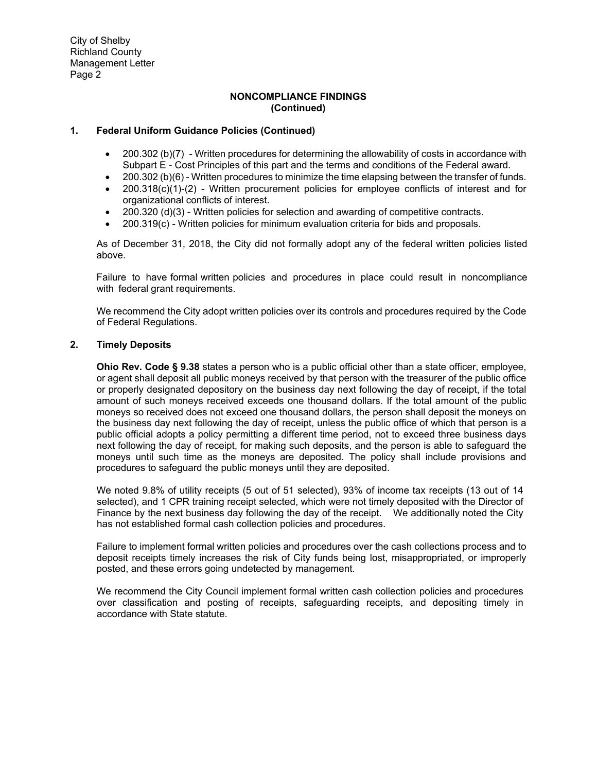City of Shelby Richland County Management Letter Page 2

# **NONCOMPLIANCE FINDINGS (Continued)**

# **1. Federal Uniform Guidance Policies (Continued)**

- 200.302 (b)(7) Written procedures for determining the allowability of costs in accordance with Subpart E - Cost Principles of this part and the terms and conditions of the Federal award.
- 200.302 (b)(6) Written procedures to minimize the time elapsing between the transfer of funds.
- $\bullet$  200.318(c)(1)-(2) Written procurement policies for employee conflicts of interest and for organizational conflicts of interest.
- 200.320 (d)(3) Written policies for selection and awarding of competitive contracts.
- 200.319(c) Written policies for minimum evaluation criteria for bids and proposals.

As of December 31, 2018, the City did not formally adopt any of the federal written policies listed above.

Failure to have formal written policies and procedures in place could result in noncompliance with federal grant requirements.

We recommend the City adopt written policies over its controls and procedures required by the Code of Federal Regulations.

# **2. Timely Deposits**

**Ohio Rev. Code § 9.38** states a person who is a public official other than a state officer, employee, or agent shall deposit all public moneys received by that person with the treasurer of the public office or properly designated depository on the business day next following the day of receipt, if the total amount of such moneys received exceeds one thousand dollars. If the total amount of the public moneys so received does not exceed one thousand dollars, the person shall deposit the moneys on the business day next following the day of receipt, unless the public office of which that person is a public official adopts a policy permitting a different time period, not to exceed three business days next following the day of receipt, for making such deposits, and the person is able to safeguard the moneys until such time as the moneys are deposited. The policy shall include provisions and procedures to safeguard the public moneys until they are deposited.

We noted 9.8% of utility receipts (5 out of 51 selected), 93% of income tax receipts (13 out of 14 selected), and 1 CPR training receipt selected, which were not timely deposited with the Director of Finance by the next business day following the day of the receipt. We additionally noted the City has not established formal cash collection policies and procedures.

Failure to implement formal written policies and procedures over the cash collections process and to deposit receipts timely increases the risk of City funds being lost, misappropriated, or improperly posted, and these errors going undetected by management.

We recommend the City Council implement formal written cash collection policies and procedures over classification and posting of receipts, safeguarding receipts, and depositing timely in accordance with State statute.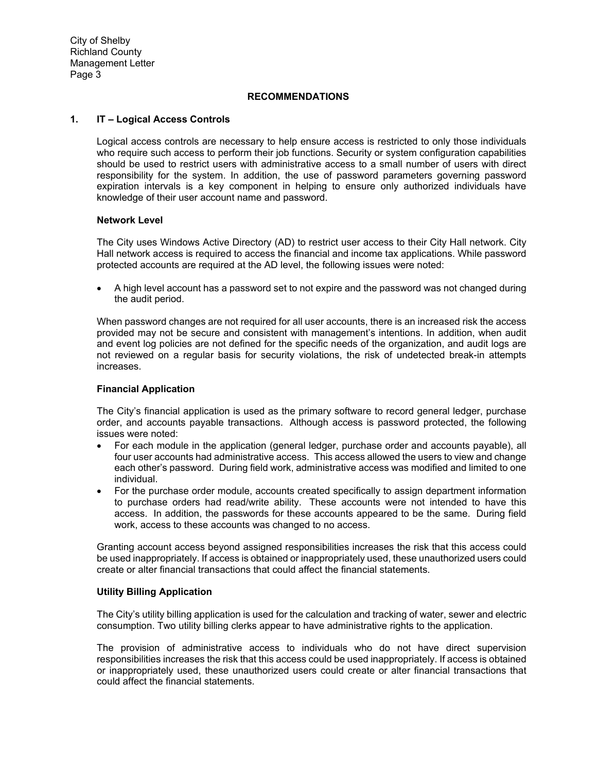City of Shelby Richland County Management Letter Page 3

# **RECOMMENDATIONS**

## **1. IT – Logical Access Controls**

Logical access controls are necessary to help ensure access is restricted to only those individuals who require such access to perform their job functions. Security or system configuration capabilities should be used to restrict users with administrative access to a small number of users with direct responsibility for the system. In addition, the use of password parameters governing password expiration intervals is a key component in helping to ensure only authorized individuals have knowledge of their user account name and password.

# **Network Level**

The City uses Windows Active Directory (AD) to restrict user access to their City Hall network. City Hall network access is required to access the financial and income tax applications. While password protected accounts are required at the AD level, the following issues were noted:

 A high level account has a password set to not expire and the password was not changed during the audit period.

When password changes are not required for all user accounts, there is an increased risk the access provided may not be secure and consistent with management's intentions. In addition, when audit and event log policies are not defined for the specific needs of the organization, and audit logs are not reviewed on a regular basis for security violations, the risk of undetected break-in attempts increases.

# **Financial Application**

The City's financial application is used as the primary software to record general ledger, purchase order, and accounts payable transactions. Although access is password protected, the following issues were noted:

- For each module in the application (general ledger, purchase order and accounts payable), all four user accounts had administrative access. This access allowed the users to view and change each other's password. During field work, administrative access was modified and limited to one individual.
- For the purchase order module, accounts created specifically to assign department information to purchase orders had read/write ability. These accounts were not intended to have this access. In addition, the passwords for these accounts appeared to be the same. During field work, access to these accounts was changed to no access.

Granting account access beyond assigned responsibilities increases the risk that this access could be used inappropriately. If access is obtained or inappropriately used, these unauthorized users could create or alter financial transactions that could affect the financial statements.

#### **Utility Billing Application**

The City's utility billing application is used for the calculation and tracking of water, sewer and electric consumption. Two utility billing clerks appear to have administrative rights to the application.

The provision of administrative access to individuals who do not have direct supervision responsibilities increases the risk that this access could be used inappropriately. If access is obtained or inappropriately used, these unauthorized users could create or alter financial transactions that could affect the financial statements.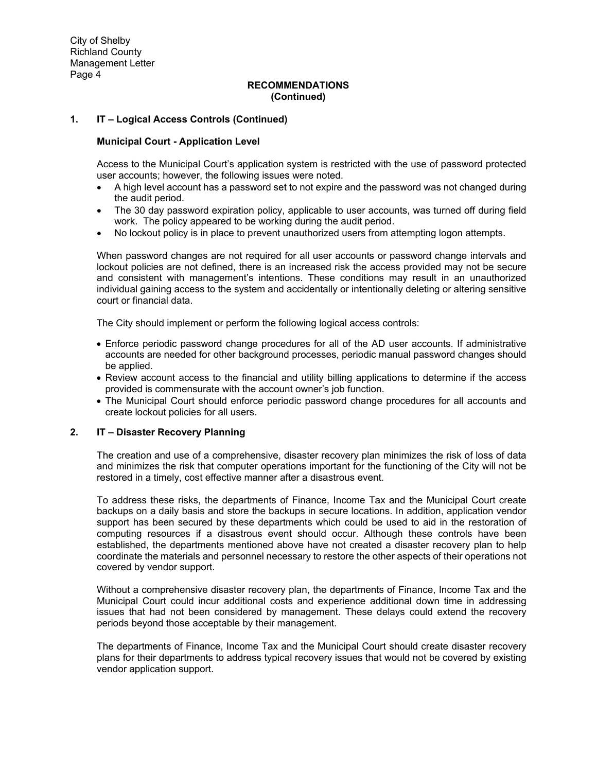City of Shelby Richland County Management Letter Page 4

### **RECOMMENDATIONS (Continued)**

## **1. IT – Logical Access Controls (Continued)**

#### **Municipal Court - Application Level**

Access to the Municipal Court's application system is restricted with the use of password protected user accounts; however, the following issues were noted.

- A high level account has a password set to not expire and the password was not changed during the audit period.
- The 30 day password expiration policy, applicable to user accounts, was turned off during field work. The policy appeared to be working during the audit period.
- No lockout policy is in place to prevent unauthorized users from attempting logon attempts.

When password changes are not required for all user accounts or password change intervals and lockout policies are not defined, there is an increased risk the access provided may not be secure and consistent with management's intentions. These conditions may result in an unauthorized individual gaining access to the system and accidentally or intentionally deleting or altering sensitive court or financial data.

The City should implement or perform the following logical access controls:

- Enforce periodic password change procedures for all of the AD user accounts. If administrative accounts are needed for other background processes, periodic manual password changes should be applied.
- Review account access to the financial and utility billing applications to determine if the access provided is commensurate with the account owner's job function.
- The Municipal Court should enforce periodic password change procedures for all accounts and create lockout policies for all users.

#### **2. IT – Disaster Recovery Planning**

The creation and use of a comprehensive, disaster recovery plan minimizes the risk of loss of data and minimizes the risk that computer operations important for the functioning of the City will not be restored in a timely, cost effective manner after a disastrous event.

To address these risks, the departments of Finance, Income Tax and the Municipal Court create backups on a daily basis and store the backups in secure locations. In addition, application vendor support has been secured by these departments which could be used to aid in the restoration of computing resources if a disastrous event should occur. Although these controls have been established, the departments mentioned above have not created a disaster recovery plan to help coordinate the materials and personnel necessary to restore the other aspects of their operations not covered by vendor support.

Without a comprehensive disaster recovery plan, the departments of Finance, Income Tax and the Municipal Court could incur additional costs and experience additional down time in addressing issues that had not been considered by management. These delays could extend the recovery periods beyond those acceptable by their management.

The departments of Finance, Income Tax and the Municipal Court should create disaster recovery plans for their departments to address typical recovery issues that would not be covered by existing vendor application support.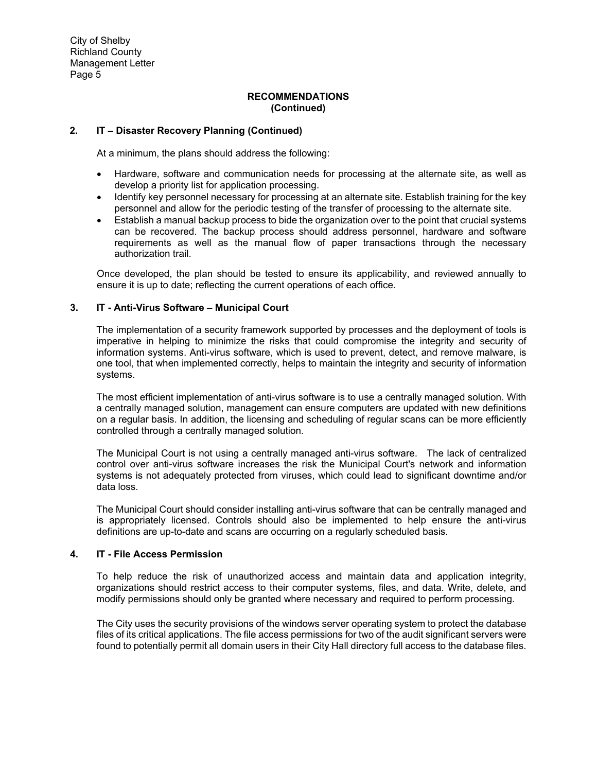# **RECOMMENDATIONS (Continued)**

# **2. IT – Disaster Recovery Planning (Continued)**

At a minimum, the plans should address the following:

- Hardware, software and communication needs for processing at the alternate site, as well as develop a priority list for application processing.
- Identify key personnel necessary for processing at an alternate site. Establish training for the key personnel and allow for the periodic testing of the transfer of processing to the alternate site.
- Establish a manual backup process to bide the organization over to the point that crucial systems can be recovered. The backup process should address personnel, hardware and software requirements as well as the manual flow of paper transactions through the necessary authorization trail.

Once developed, the plan should be tested to ensure its applicability, and reviewed annually to ensure it is up to date; reflecting the current operations of each office.

# **3. IT - Anti-Virus Software – Municipal Court**

The implementation of a security framework supported by processes and the deployment of tools is imperative in helping to minimize the risks that could compromise the integrity and security of information systems. Anti-virus software, which is used to prevent, detect, and remove malware, is one tool, that when implemented correctly, helps to maintain the integrity and security of information systems.

The most efficient implementation of anti-virus software is to use a centrally managed solution. With a centrally managed solution, management can ensure computers are updated with new definitions on a regular basis. In addition, the licensing and scheduling of regular scans can be more efficiently controlled through a centrally managed solution.

The Municipal Court is not using a centrally managed anti-virus software. The lack of centralized control over anti-virus software increases the risk the Municipal Court's network and information systems is not adequately protected from viruses, which could lead to significant downtime and/or data loss.

The Municipal Court should consider installing anti-virus software that can be centrally managed and is appropriately licensed. Controls should also be implemented to help ensure the anti-virus definitions are up-to-date and scans are occurring on a regularly scheduled basis.

# **4. IT - File Access Permission**

To help reduce the risk of unauthorized access and maintain data and application integrity, organizations should restrict access to their computer systems, files, and data. Write, delete, and modify permissions should only be granted where necessary and required to perform processing.

The City uses the security provisions of the windows server operating system to protect the database files of its critical applications. The file access permissions for two of the audit significant servers were found to potentially permit all domain users in their City Hall directory full access to the database files.